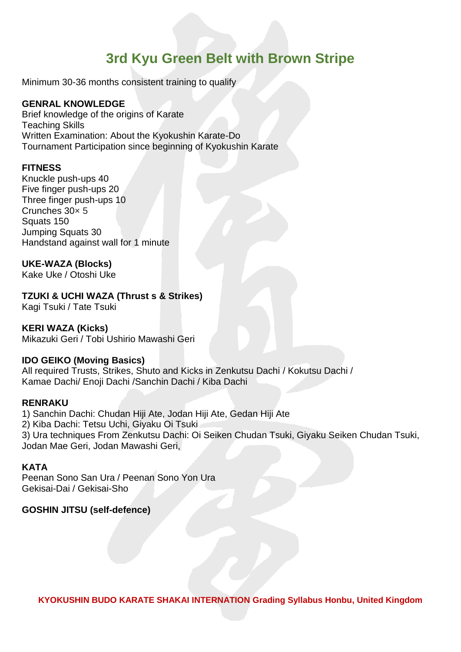# **3rd Kyu Green Belt with Brown Stripe**

Minimum 30-36 months consistent training to qualify

## **GENRAL KNOWLEDGE**

Brief knowledge of the origins of Karate Teaching Skills Written Examination: About the Kyokushin Karate-Do Tournament Participation since beginning of Kyokushin Karate

#### **FITNESS**

Knuckle push-ups 40 Five finger push-ups 20 Three finger push-ups 10 Crunches 30× 5 Squats 150 Jumping Squats 30 Handstand against wall for 1 minute

### **UKE-WAZA (Blocks)**

Kake Uke / Otoshi Uke

# **TZUKI & UCHI WAZA (Thrust s & Strikes)**

Kagi Tsuki / Tate Tsuki

### **KERI WAZA (Kicks)**

Mikazuki Geri / Tobi Ushirio Mawashi Geri

#### **IDO GEIKO (Moving Basics)**

All required Trusts, Strikes, Shuto and Kicks in Zenkutsu Dachi / Kokutsu Dachi / Kamae Dachi/ Enoji Dachi /Sanchin Dachi / Kiba Dachi

### **RENRAKU**

1) Sanchin Dachi: Chudan Hiji Ate, Jodan Hiji Ate, Gedan Hiji Ate 2) Kiba Dachi: Tetsu Uchi, Giyaku Oi Tsuki 3) Ura techniques From Zenkutsu Dachi: Oi Seiken Chudan Tsuki, Giyaku Seiken Chudan Tsuki, Jodan Mae Geri, Jodan Mawashi Geri,

### **KATA**

Peenan Sono San Ura / Peenan Sono Yon Ura Gekisai-Dai / Gekisai-Sho

### **GOSHIN JITSU (self-defence)**

**KYOKUSHIN BUDO KARATE SHAKAI INTERNATION Grading Syllabus Honbu, United Kingdom**